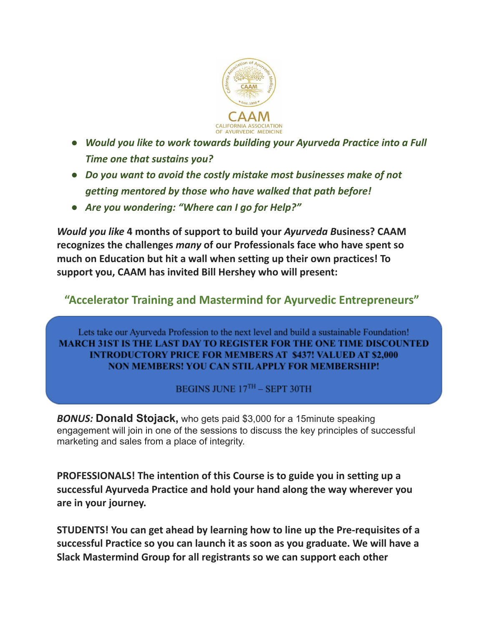

- *● Would you like to work towards building your Ayurveda Practice into a Full Time one that sustains you?*
- *● Do you want to avoid the costly mistake most businesses make of not getting mentored by those who have walked that path before!*
- *● Are you wondering: "Where can I go for Help?"*

*Would you like* **4 months of support to build your** *Ayurveda B***usiness? CAAM recognizes the challenges** *many* **of our Professionals face who have spent so much on Education but hit a wall when setting up their own practices! To support you, CAAM has invited Bill Hershey who will present:**

## **"Accelerator Training and Mastermind for Ayurvedic Entrepreneurs"**

Lets take our Ayurveda Profession to the next level and build a sustainable Foundation! MARCH 31ST IS THE LAST DAY TO REGISTER FOR THE ONE TIME DISCOUNTED **INTRODUCTORY PRICE FOR MEMBERS AT \$437! VALUED AT \$2,000 NON MEMBERS! YOU CAN STIL APPLY FOR MEMBERSHIP!** 

BEGINS JUNE 17TH - SEPT 30TH

*BONUS:* **Donald Stojack,** who gets paid \$3,000 for a 15minute speaking engagement will join in one of the sessions to discuss the key principles of successful marketing and sales from a place of integrity.

**PROFESSIONALS! The intention of this Course is to guide you in setting up a successful Ayurveda Practice and hold your hand along the way wherever you are in your journey.**

**STUDENTS! You can get ahead by learning how to line up the Pre-requisites of a successful Practice so you can launch it as soon as you graduate. We will have a Slack Mastermind Group for all registrants so we can support each other**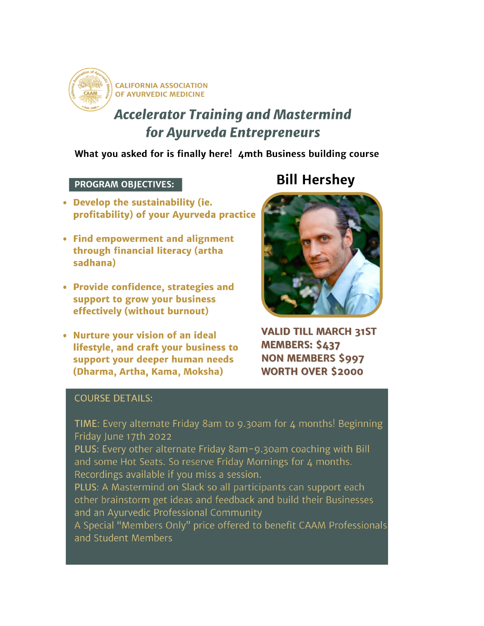

**CALIFORNIA ASSOCIATION** OF AYURVEDIC MEDICINE

# **Accelerator Training and Mastermind** for Ayurveda Entrepreneurs

What you asked for is finally here! 4mth Business building course

### **PROGRAM OBJECTIVES:**

- Develop the sustainability (ie. profitability) of your Ayurveda practice
- Find empowerment and alignment through financial literacy (artha sadhana)
- Provide confidence, strategies and support to grow your business effectively (without burnout)
- Nurture your vision of an ideal lifestyle, and craft your business to support your deeper human needs (Dharma, Artha, Kama, Moksha)

# **Bill Hershey**



**VALID TILL MARCH 31ST MEMBERS: \$437 NON MEMBERS \$997 WORTH OVER \$2000** 

### **COURSE DETAILS:**

TIME: Every alternate Friday 8am to 9.30am for 4 months! Beginning Friday June 17th 2022

PLUS: Every other alternate Friday 8am-9.30am coaching with Bill and some Hot Seats. So reserve Friday Mornings for 4 months. Recordings available if you miss a session.

PLUS: A Mastermind on Slack so all participants can support each other brainstorm get ideas and feedback and build their Businesses and an Ayurvedic Professional Community

A Special "Members Only" price offered to benefit CAAM Professionals and Student Members